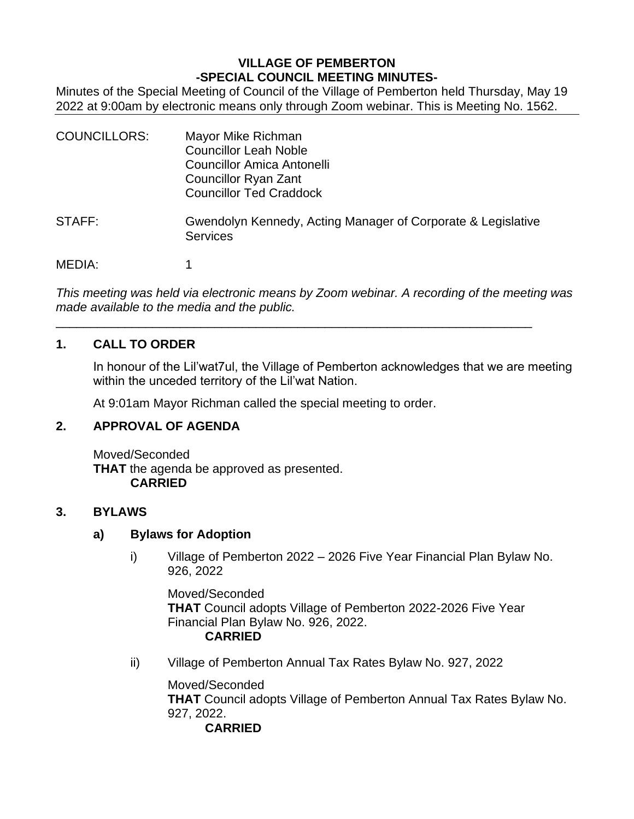## **VILLAGE OF PEMBERTON -SPECIAL COUNCIL MEETING MINUTES-**

Minutes of the Special Meeting of Council of the Village of Pemberton held Thursday, May 19 2022 at 9:00am by electronic means only through Zoom webinar. This is Meeting No. 1562.

| <b>COUNCILLORS:</b> | Mayor Mike Richman<br><b>Councillor Leah Noble</b><br>Councillor Amica Antonelli<br>Councillor Ryan Zant<br><b>Councillor Ted Craddock</b> |
|---------------------|--------------------------------------------------------------------------------------------------------------------------------------------|
| STAFF:              | Gwendolyn Kennedy, Acting Manager of Corporate & Legislative<br><b>Services</b>                                                            |
| MEDIA:              |                                                                                                                                            |

*This meeting was held via electronic means by Zoom webinar. A recording of the meeting was made available to the media and the public.*

\_\_\_\_\_\_\_\_\_\_\_\_\_\_\_\_\_\_\_\_\_\_\_\_\_\_\_\_\_\_\_\_\_\_\_\_\_\_\_\_\_\_\_\_\_\_\_\_\_\_\_\_\_\_\_\_\_\_\_\_\_\_\_\_\_\_\_\_\_

### **1. CALL TO ORDER**

In honour of the Lil'wat7ul, the Village of Pemberton acknowledges that we are meeting within the unceded territory of the Lil'wat Nation.

At 9:01am Mayor Richman called the special meeting to order.

## **2. APPROVAL OF AGENDA**

Moved/Seconded **THAT** the agenda be approved as presented. **CARRIED**

#### **3. BYLAWS**

#### **a) Bylaws for Adoption**

i) Village of Pemberton 2022 – 2026 Five Year Financial Plan Bylaw No. 926, 2022

Moved/Seconded **THAT** Council adopts Village of Pemberton 2022-2026 Five Year Financial Plan Bylaw No. 926, 2022. **CARRIED**

ii) Village of Pemberton Annual Tax Rates Bylaw No. 927, 2022

Moved/Seconded **THAT** Council adopts Village of Pemberton Annual Tax Rates Bylaw No. 927, 2022. **CARRIED**